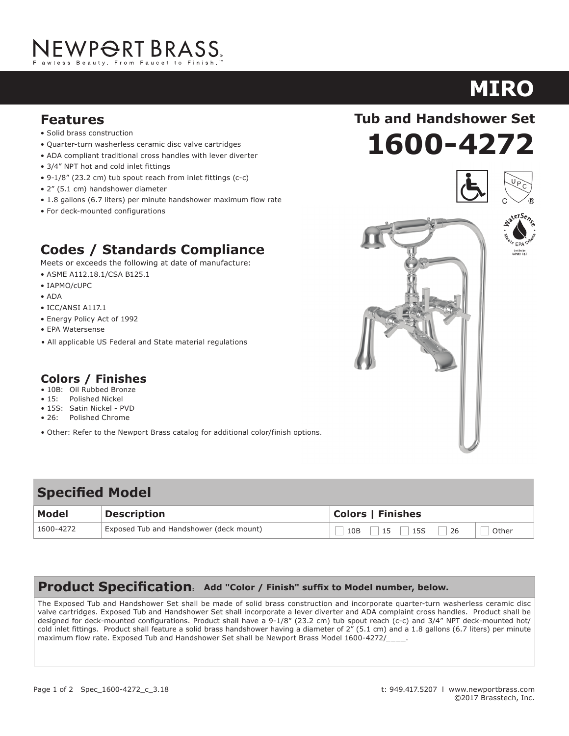# NEWP<del>O</del>RT BRASS.

- Solid brass construction
- Quarter-turn washerless ceramic disc valve cartridges
- ADA compliant traditional cross handles with lever diverter
- 3/4" NPT hot and cold inlet fittings
- 9-1/8" (23.2 cm) tub spout reach from inlet fittings (c-c)
- 2" (5.1 cm) handshower diameter
- 1.8 gallons (6.7 liters) per minute handshower maximum flow rate
- For deck-mounted configurations

### **Codes / Standards Compliance**

Meets or exceeds the following at date of manufacture:

- ASME A112.18.1/CSA B125.1
- IAPMO/cUPC
- ADA
- ICC/ANSI A117.1
- Energy Policy Act of 1992
- EPA Watersense
- All applicable US Federal and State material regulations

### **Colors / Finishes**

- 10B: Oil Rubbed Bronze
- 15: Polished Nickel
- 15S: Satin Nickel PVD
- 26: Polished Chrome
- Other: Refer to the Newport Brass catalog for additional color/finish options.

### 10B 15 15S 26 Other **Specified Model Model Description Colors | Finishes** 1600-4272 Exposed Tub and Handshower (deck mount)

### **Product Specification: Add "Color / Finish" suffix to Model number, below.**

The Exposed Tub and Handshower Set shall be made of solid brass construction and incorporate quarter-turn washerless ceramic disc valve cartridges. Exposed Tub and Handshower Set shall incorporate a lever diverter and ADA complaint cross handles. Product shall be designed for deck-mounted configurations. Product shall have a 9-1/8" (23.2 cm) tub spout reach (c-c) and 3/4" NPT deck-mounted hot/ cold inlet fittings. Product shall feature a solid brass handshower having a diameter of 2" (5.1 cm) and a 1.8 gallons (6.7 liters) per minute maximum flow rate. Exposed Tub and Handshower Set shall be Newport Brass Model 1600-4272/

### **1600-4272 Features Tub and Handshower Set**







# **MIRO**